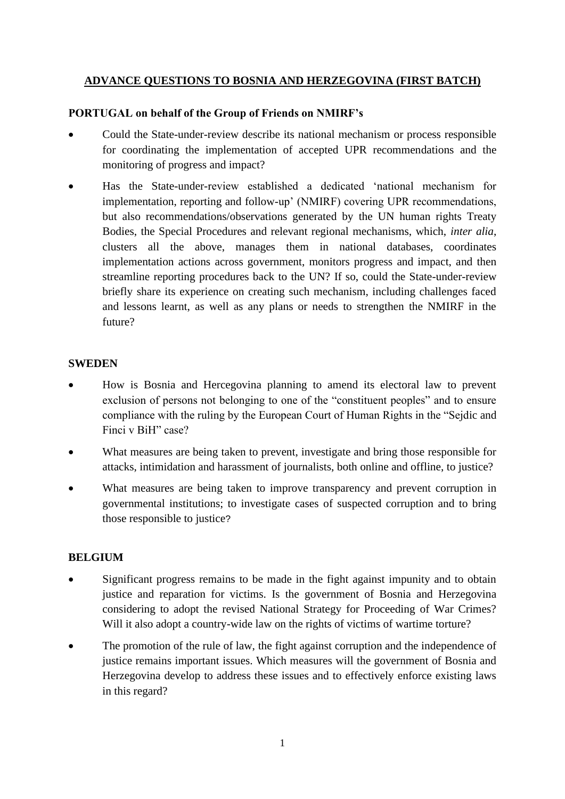# **ADVANCE QUESTIONS TO BOSNIA AND HERZEGOVINA (FIRST BATCH)**

### **PORTUGAL on behalf of the Group of Friends on NMIRF's**

- Could the State-under-review describe its national mechanism or process responsible for coordinating the implementation of accepted UPR recommendations and the monitoring of progress and impact?
- Has the State-under-review established a dedicated 'national mechanism for implementation, reporting and follow-up' (NMIRF) covering UPR recommendations, but also recommendations/observations generated by the UN human rights Treaty Bodies, the Special Procedures and relevant regional mechanisms, which, *inter alia*, clusters all the above, manages them in national databases, coordinates implementation actions across government, monitors progress and impact, and then streamline reporting procedures back to the UN? If so, could the State-under-review briefly share its experience on creating such mechanism, including challenges faced and lessons learnt, as well as any plans or needs to strengthen the NMIRF in the future?

#### **SWEDEN**

- How is Bosnia and Hercegovina planning to amend its electoral law to prevent exclusion of persons not belonging to one of the "constituent peoples" and to ensure compliance with the ruling by the European Court of Human Rights in the "Sejdic and Finci v BiH" case?
- What measures are being taken to prevent, investigate and bring those responsible for attacks, intimidation and harassment of journalists, both online and offline, to justice?
- What measures are being taken to improve transparency and prevent corruption in governmental institutions; to investigate cases of suspected corruption and to bring those responsible to justice?

# **BELGIUM**

- Significant progress remains to be made in the fight against impunity and to obtain justice and reparation for victims. Is the government of Bosnia and Herzegovina considering to adopt the revised National Strategy for Proceeding of War Crimes? Will it also adopt a country-wide law on the rights of victims of wartime torture?
- The promotion of the rule of law, the fight against corruption and the independence of justice remains important issues. Which measures will the government of Bosnia and Herzegovina develop to address these issues and to effectively enforce existing laws in this regard?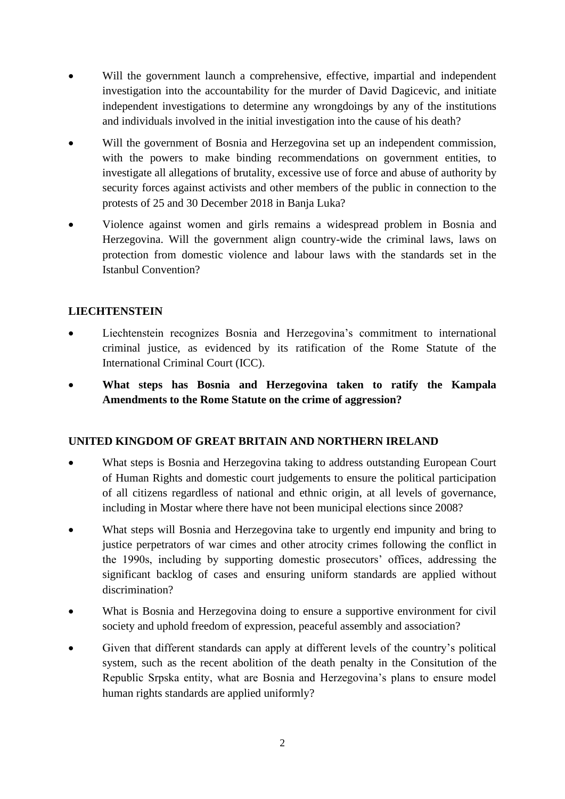- Will the government launch a comprehensive, effective, impartial and independent investigation into the accountability for the murder of David Dagicevic, and initiate independent investigations to determine any wrongdoings by any of the institutions and individuals involved in the initial investigation into the cause of his death?
- Will the government of Bosnia and Herzegovina set up an independent commission, with the powers to make binding recommendations on government entities, to investigate all allegations of brutality, excessive use of force and abuse of authority by security forces against activists and other members of the public in connection to the protests of 25 and 30 December 2018 in Banja Luka?
- Violence against women and girls remains a widespread problem in Bosnia and Herzegovina. Will the government align country-wide the criminal laws, laws on protection from domestic violence and labour laws with the standards set in the Istanbul Convention?

### **LIECHTENSTEIN**

- Liechtenstein recognizes Bosnia and Herzegovina's commitment to international criminal justice, as evidenced by its ratification of the Rome Statute of the International Criminal Court (ICC).
- **What steps has Bosnia and Herzegovina taken to ratify the Kampala Amendments to the Rome Statute on the crime of aggression?**

#### **UNITED KINGDOM OF GREAT BRITAIN AND NORTHERN IRELAND**

- What steps is Bosnia and Herzegovina taking to address outstanding European Court of Human Rights and domestic court judgements to ensure the political participation of all citizens regardless of national and ethnic origin, at all levels of governance, including in Mostar where there have not been municipal elections since 2008?
- What steps will Bosnia and Herzegovina take to urgently end impunity and bring to justice perpetrators of war cimes and other atrocity crimes following the conflict in the 1990s, including by supporting domestic prosecutors' offices, addressing the significant backlog of cases and ensuring uniform standards are applied without discrimination?
- What is Bosnia and Herzegovina doing to ensure a supportive environment for civil society and uphold freedom of expression, peaceful assembly and association?
- Given that different standards can apply at different levels of the country's political system, such as the recent abolition of the death penalty in the Consitution of the Republic Srpska entity, what are Bosnia and Herzegovina's plans to ensure model human rights standards are applied uniformly?